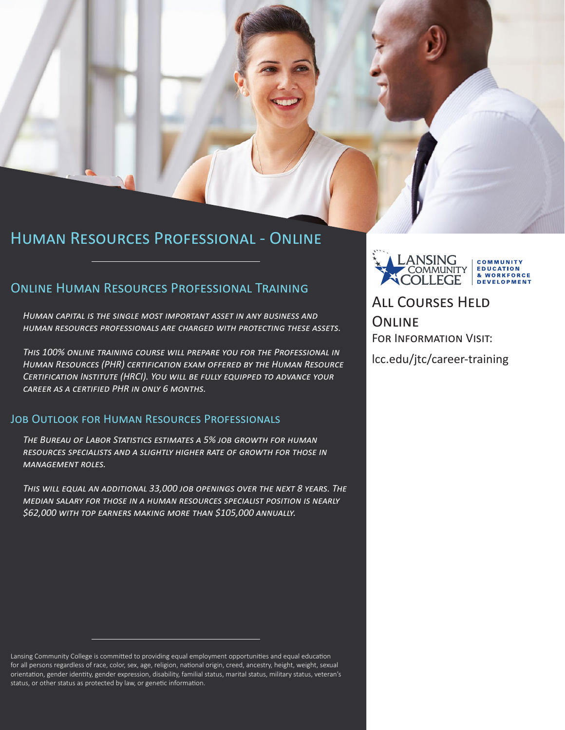## Human Resources Professional - Online

### Online Human Resources Professional Training

*Human capital is the single most important asset in any business and human resources professionals are charged with protecting these assets.* 

*This 100% online training course will prepare you for the Professional in Human Resources (PHR) certification exam offered by the Human Resource Certification Institute (HRCI). You will be fully equipped to advance your career as a certified PHR in only 6 months.*

### Job Outlook for Human Resources Professionals

*The Bureau of Labor Statistics estimates a 5% job growth for human resources specialists and a slightly higher rate of growth for those in management roles.* 

*This will equal an additional 33,000 job openings over the next 8 years. The median salary for those in a human resources specialist position is nearly \$62,000 with top earners making more than \$105,000 annually.* 

Lansing Community College is committed to providing equal employment opportunities and equal education for all persons regardless of race, color, sex, age, religion, national origin, creed, ancestry, height, weight, sexual orientation, gender identity, gender expression, disability, familial status, marital status, military status, veteran's status, or other status as protected by law, or genetic information.



All Courses Held **ONLINE** For Information Visit:

lcc.edu/jtc/career-training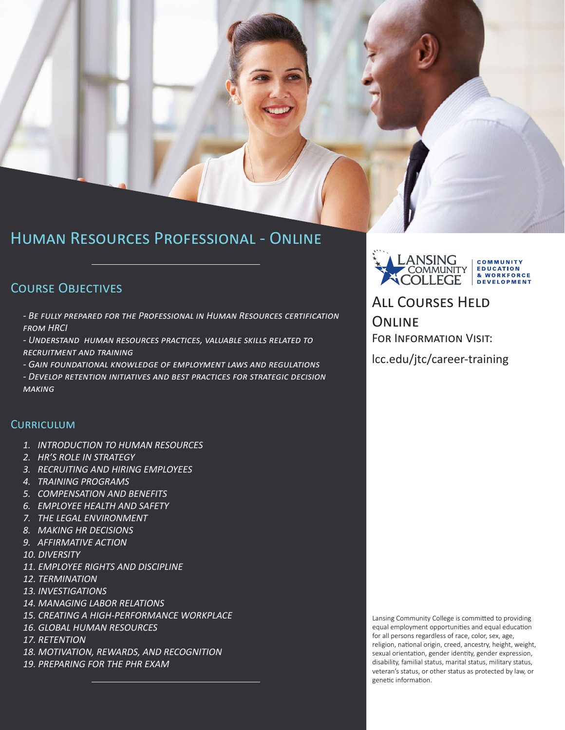## Human Resources Professional - Online

### Course Objectives

*- Be fully prepared for the Professional in Human Resources certification from HRCI*

*- Understand human resources practices, valuable skills related to recruitment and training*

*- Gain foundational knowledge of employment laws and regulations*

*- Develop retention initiatives and best practices for strategic decision making*

### **CURRICULUM**

- *1. INTRODUCTION TO HUMAN RESOURCES*
- *2. HR'S ROLE IN STRATEGY*
- *3. RECRUITING AND HIRING EMPLOYEES*
- *4. TRAINING PROGRAMS*
- *5. COMPENSATION AND BENEFITS*
- *6. EMPLOYEE HEALTH AND SAFETY*
- *7. THE LEGAL ENVIRONMENT*
- *8. MAKING HR DECISIONS*
- *9. AFFIRMATIVE ACTION*
- *10. DIVERSITY*
- *11. EMPLOYEE RIGHTS AND DISCIPLINE*
- *12. TERMINATION*
- *13. INVESTIGATIONS*
- *14. MANAGING LABOR RELATIONS*
- *15. CREATING A HIGH-PERFORMANCE WORKPLACE*
- *16. GLOBAL HUMAN RESOURCES*
- *17. RETENTION*
- *18. MOTIVATION, REWARDS, AND RECOGNITION*
- *19. PREPARING FOR THE PHR EXAM*



# All Courses Held **ONLINE**

For Information Visit:

lcc.edu/jtc/career-training

Lansing Community College is committed to providing equal employment opportunities and equal education for all persons regardless of race, color, sex, age, religion, national origin, creed, ancestry, height, weight, sexual orientation, gender identity, gender expression, disability, familial status, marital status, military status, veteran's status, or other status as protected by law, or genetic information.